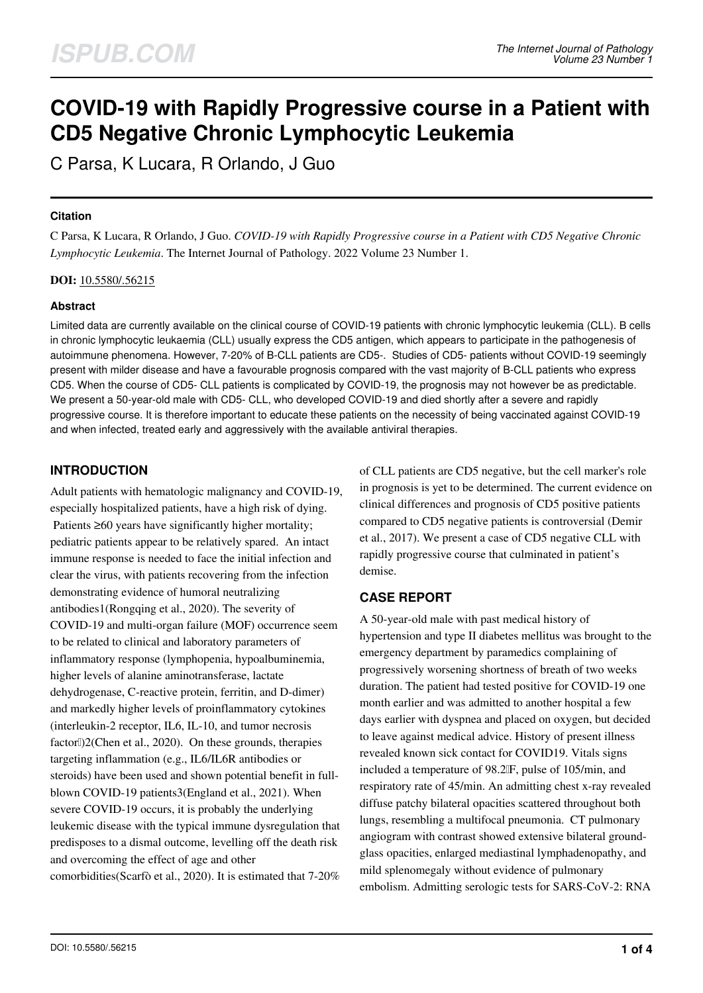# **COVID-19 with Rapidly Progressive course in a Patient with CD5 Negative Chronic Lymphocytic Leukemia**

C Parsa, K Lucara, R Orlando, J Guo

## **Citation**

C Parsa, K Lucara, R Orlando, J Guo. *COVID-19 with Rapidly Progressive course in a Patient with CD5 Negative Chronic Lymphocytic Leukemia*. The Internet Journal of Pathology. 2022 Volume 23 Number 1.

**DOI:** [10.5580/.56215](https://ispub.com/doi/10.5580/.56215)

## **Abstract**

Limited data are currently available on the clinical course of COVID-19 patients with chronic lymphocytic leukemia (CLL). B cells in chronic lymphocytic leukaemia (CLL) usually express the CD5 antigen, which appears to participate in the pathogenesis of autoimmune phenomena. However, 7-20% of B-CLL patients are CD5-. Studies of CD5- patients without COVID-19 seemingly present with milder disease and have a favourable prognosis compared with the vast majority of B-CLL patients who express CD5. When the course of CD5- CLL patients is complicated by COVID-19, the prognosis may not however be as predictable. We present a 50-year-old male with CD5- CLL, who developed COVID-19 and died shortly after a severe and rapidly progressive course. It is therefore important to educate these patients on the necessity of being vaccinated against COVID-19 and when infected, treated early and aggressively with the available antiviral therapies.

# **INTRODUCTION**

Adult patients with hematologic malignancy and COVID-19, especially hospitalized patients, have a high risk of dying. Patients ≥60 years have significantly higher mortality; pediatric patients appear to be relatively spared. An intact immune response is needed to face the initial infection and clear the virus, with patients recovering from the infection demonstrating evidence of humoral neutralizing antibodies1(Rongqing et al., 2020). The severity of COVID-19 and multi-organ failure (MOF) occurrence seem to be related to clinical and laboratory parameters of inflammatory response (lymphopenia, hypoalbuminemia, higher levels of alanine aminotransferase, lactate dehydrogenase, C-reactive protein, ferritin, and D-dimer) and markedly higher levels of proinflammatory cytokines (interleukin-2 receptor, IL6, IL-10, and tumor necrosis factorl]2(Chen et al., 2020). On these grounds, therapies targeting inflammation (e.g., IL6/IL6R antibodies or steroids) have been used and shown potential benefit in fullblown COVID-19 patients3(England et al., 2021). When severe COVID-19 occurs, it is probably the underlying leukemic disease with the typical immune dysregulation that predisposes to a dismal outcome, levelling off the death risk and overcoming the effect of age and other comorbidities(Scarfò et al., 2020). It is estimated that 7-20%

of CLL patients are CD5 negative, but the cell marker's role in prognosis is yet to be determined. The current evidence on clinical differences and prognosis of CD5 positive patients compared to CD5 negative patients is controversial (Demir et al., 2017). We present a case of CD5 negative CLL with rapidly progressive course that culminated in patient's demise.

# **CASE REPORT**

A 50-year-old male with past medical history of hypertension and type II diabetes mellitus was brought to the emergency department by paramedics complaining of progressively worsening shortness of breath of two weeks duration. The patient had tested positive for COVID-19 one month earlier and was admitted to another hospital a few days earlier with dyspnea and placed on oxygen, but decided to leave against medical advice. History of present illness revealed known sick contact for COVID19. Vitals signs included a temperature of 98.2 IF, pulse of 105/min, and respiratory rate of 45/min. An admitting chest x-ray revealed diffuse patchy bilateral opacities scattered throughout both lungs, resembling a multifocal pneumonia. CT pulmonary angiogram with contrast showed extensive bilateral groundglass opacities, enlarged mediastinal lymphadenopathy, and mild splenomegaly without evidence of pulmonary embolism. Admitting serologic tests for SARS-CoV-2: RNA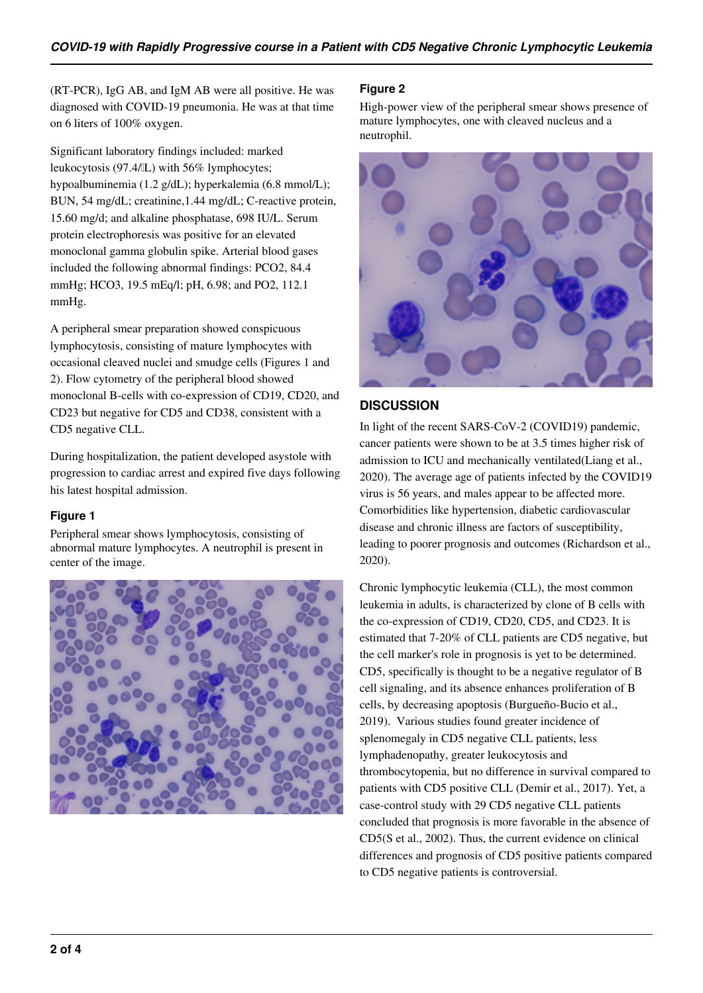(RT-PCR), IgG AB, and IgM AB were all positive. He was diagnosed with COVID-19 pneumonia. He was at that time on 6 liters of 100% oxygen.

Significant laboratory findings included: marked leukocytosis (97.4/μL) with 56% lymphocytes; hypoalbuminemia (1.2 g/dL); hyperkalemia (6.8 mmol/L); BUN, 54 mg/dL; creatinine,1.44 mg/dL; C-reactive protein, 15.60 mg/d; and alkaline phosphatase, 698 IU/L. Serum protein electrophoresis was positive for an elevated monoclonal gamma globulin spike. Arterial blood gases included the following abnormal findings: PCO2, 84.4 mmHg; HCO3, 19.5 mEq/l; pH, 6.98; and PO2, 112.1 mmHg.

A peripheral smear preparation showed conspicuous lymphocytosis, consisting of mature lymphocytes with occasional cleaved nuclei and smudge cells (Figures 1 and 2). Flow cytometry of the peripheral blood showed monoclonal B-cells with co-expression of CD19, CD20, and CD23 but negative for CD5 and CD38, consistent with a CD5 negative CLL.

During hospitalization, the patient developed asystole with progression to cardiac arrest and expired five days following his latest hospital admission.

## **Figure 1**

Peripheral smear shows lymphocytosis, consisting of abnormal mature lymphocytes. A neutrophil is present in center of the image.



## **Figure 2**

High-power view of the peripheral smear shows presence of mature lymphocytes, one with cleaved nucleus and a neutrophil.



# **DISCUSSION**

In light of the recent SARS-CoV-2 (COVID19) pandemic, cancer patients were shown to be at 3.5 times higher risk of admission to ICU and mechanically ventilated(Liang et al., 2020). The average age of patients infected by the COVID19 virus is 56 years, and males appear to be affected more. Comorbidities like hypertension, diabetic cardiovascular disease and chronic illness are factors of susceptibility, leading to poorer prognosis and outcomes (Richardson et al., 2020).

Chronic lymphocytic leukemia (CLL), the most common leukemia in adults, is characterized by clone of B cells with the co-expression of CD19, CD20, CD5, and CD23. It is estimated that 7-20% of CLL patients are CD5 negative, but the cell marker's role in prognosis is yet to be determined. CD5, specifically is thought to be a negative regulator of B cell signaling, and its absence enhances proliferation of B cells, by decreasing apoptosis (Burgueño-Bucio et al., 2019). Various studies found greater incidence of splenomegaly in CD5 negative CLL patients, less lymphadenopathy, greater leukocytosis and thrombocytopenia, but no difference in survival compared to patients with CD5 positive CLL (Demir et al., 2017). Yet, a case-control study with 29 CD5 negative CLL patients concluded that prognosis is more favorable in the absence of CD5(S et al., 2002). Thus, the current evidence on clinical differences and prognosis of CD5 positive patients compared to CD5 negative patients is controversial.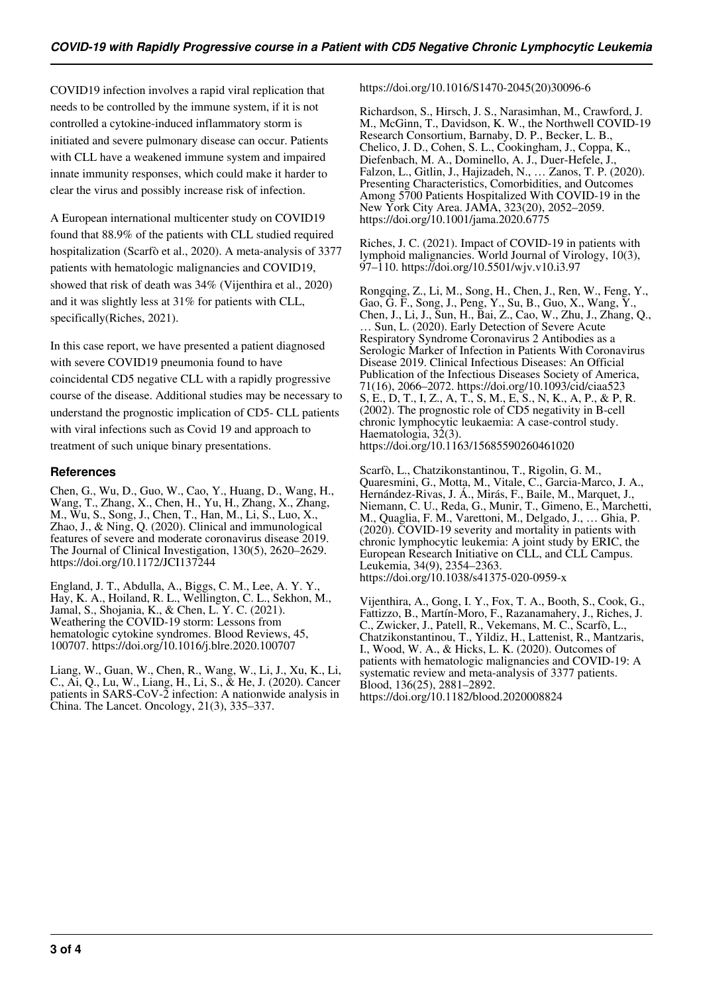COVID19 infection involves a rapid viral replication that needs to be controlled by the immune system, if it is not controlled a cytokine-induced inflammatory storm is initiated and severe pulmonary disease can occur. Patients with CLL have a weakened immune system and impaired innate immunity responses, which could make it harder to clear the virus and possibly increase risk of infection.

A European international multicenter study on COVID19 found that 88.9% of the patients with CLL studied required hospitalization (Scarfò et al., 2020). A meta-analysis of 3377 patients with hematologic malignancies and COVID19, showed that risk of death was 34% (Vijenthira et al., 2020) and it was slightly less at 31% for patients with CLL, specifically(Riches, 2021).

In this case report, we have presented a patient diagnosed with severe COVID19 pneumonia found to have coincidental CD5 negative CLL with a rapidly progressive course of the disease. Additional studies may be necessary to understand the prognostic implication of CD5- CLL patients with viral infections such as Covid 19 and approach to treatment of such unique binary presentations.

## **References**

Chen, G., Wu, D., Guo, W., Cao, Y., Huang, D., Wang, H., Wang, T., Zhang, X., Chen, H., Yu, H., Zhang, X., Zhang, M., Wu, S., Song, J., Chen, T., Han, M., Li, S., Luo, X., Zhao, J., & Ning, Q. (2020). Clinical and immunological features of severe and moderate coronavirus disease 2019. The Journal of Clinical Investigation, 130(5), 2620–2629. https://doi.org/10.1172/JCI137244

England, J. T., Abdulla, A., Biggs, C. M., Lee, A. Y. Y., Hay, K. A., Hoiland, R. L., Wellington, C. L., Sekhon, M., Jamal, S., Shojania, K., & Chen, L. Y. C. (2021). Weathering the COVID-19 storm: Lessons from hematologic cytokine syndromes. Blood Reviews, 45, 100707. https://doi.org/10.1016/j.blre.2020.100707

Liang, W., Guan, W., Chen, R., Wang, W., Li, J., Xu, K., Li, C., Ai, Q., Lu, W., Liang, H., Li, S., & He, J. (2020). Cancer patients in SARS-CoV-2 infection: A nationwide analysis in China. The Lancet. Oncology, 21(3), 335–337.

https://doi.org/10.1016/S1470-2045(20)30096-6

Richardson, S., Hirsch, J. S., Narasimhan, M., Crawford, J. M., McGinn, T., Davidson, K. W., the Northwell COVID-19 Research Consortium, Barnaby, D. P., Becker, L. B., Chelico, J. D., Cohen, S. L., Cookingham, J., Coppa, K., Diefenbach, M. A., Dominello, A. J., Duer-Hefele, J., Falzon, L., Gitlin, J., Hajizadeh, N., … Zanos, T. P. (2020). Presenting Characteristics, Comorbidities, and Outcomes Among 5700 Patients Hospitalized With COVID-19 in the New York City Area. JAMA, 323(20), 2052–2059. https://doi.org/10.1001/jama.2020.6775

Riches, J. C. (2021). Impact of COVID-19 in patients with lymphoid malignancies. World Journal of Virology, 10(3), 97–110. https://doi.org/10.5501/wjv.v10.i3.97

Rongqing, Z., Li, M., Song, H., Chen, J., Ren, W., Feng, Y., Gao, G. F., Song, J., Peng, Y., Su, B., Guo, X., Wang, Y., Chen, J., Li, J., Sun, H., Bai, Z., Cao, W., Zhu, J., Zhang, Q., … Sun, L. (2020). Early Detection of Severe Acute Respiratory Syndrome Coronavirus 2 Antibodies as a Serologic Marker of Infection in Patients With Coronavirus Disease 2019. Clinical Infectious Diseases: An Official Publication of the Infectious Diseases Society of America, 71(16), 2066–2072. https://doi.org/10.1093/cid/ciaa523 S, E., D, T., I, Z., A, T., S, M., E, S., N, K., A, P., & P, R. (2002). The prognostic role of CD5 negativity in B-cell chronic lymphocytic leukaemia: A case-control study. Haematologia, 32(3). https://doi.org/10.1163/15685590260461020

Scarfò, L., Chatzikonstantinou, T., Rigolin, G. M., Quaresmini, G., Motta, M., Vitale, C., Garcia-Marco, J. A., Hernández-Rivas, J. Á., Mirás, F., Baile, M., Marquet, J., Niemann, C. U., Reda, G., Munir, T., Gimeno, E., Marchetti, M., Quaglia, F. M., Varettoni, M., Delgado, J., … Ghia, P. (2020). COVID-19 severity and mortality in patients with chronic lymphocytic leukemia: A joint study by ERIC, the European Research Initiative on CLL, and CLL Campus. Leukemia, 34(9), 2354–2363. https://doi.org/10.1038/s41375-020-0959-x

Vijenthira, A., Gong, I. Y., Fox, T. A., Booth, S., Cook, G., Fattizzo, B., Martín-Moro, F., Razanamahery, J., Riches, J. C., Zwicker, J., Patell, R., Vekemans, M. C., Scarfò, L., Chatzikonstantinou, T., Yildiz, H., Lattenist, R., Mantzaris, I., Wood, W. A., & Hicks, L. K. (2020). Outcomes of patients with hematologic malignancies and COVID-19: A systematic review and meta-analysis of 3377 patients. Blood, 136(25), 2881–2892. https://doi.org/10.1182/blood.2020008824